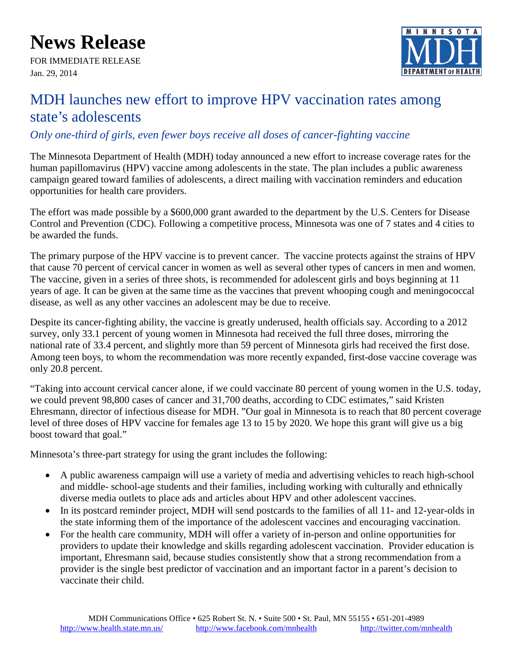## **News Release**

FOR IMMEDIATE RELEASE Jan. 29, 2014



## MDH launches new effort to improve HPV vaccination rates among state's adolescents

## *Only one-third of girls, even fewer boys receive all doses of cancer-fighting vaccine*

The Minnesota Department of Health (MDH) today announced a new effort to increase coverage rates for the human papillomavirus (HPV) vaccine among adolescents in the state. The plan includes a public awareness campaign geared toward families of adolescents, a direct mailing with vaccination reminders and education opportunities for health care providers.

The effort was made possible by a \$600,000 grant awarded to the department by the U.S. Centers for Disease Control and Prevention (CDC). Following a competitive process, Minnesota was one of 7 states and 4 cities to be awarded the funds.

The primary purpose of the HPV vaccine is to prevent cancer. The vaccine protects against the strains of HPV that cause 70 percent of cervical cancer in women as well as several other types of cancers in men and women. The vaccine, given in a series of three shots, is recommended for adolescent girls and boys beginning at 11 years of age. It can be given at the same time as the vaccines that prevent whooping cough and meningococcal disease, as well as any other vaccines an adolescent may be due to receive.

Despite its cancer-fighting ability, the vaccine is greatly underused, health officials say. According to a 2012 survey, only 33.1 percent of young women in Minnesota had received the full three doses, mirroring the national rate of 33.4 percent, and slightly more than 59 percent of Minnesota girls had received the first dose. Among teen boys, to whom the recommendation was more recently expanded, first-dose vaccine coverage was only 20.8 percent.

"Taking into account cervical cancer alone, if we could vaccinate 80 percent of young women in the U.S. today, we could prevent 98,800 cases of cancer and 31,700 deaths, according to CDC estimates," said Kristen Ehresmann, director of infectious disease for MDH. "Our goal in Minnesota is to reach that 80 percent coverage level of three doses of HPV vaccine for females age 13 to 15 by 2020. We hope this grant will give us a big boost toward that goal."

Minnesota's three-part strategy for using the grant includes the following:

- A public awareness campaign will use a variety of media and advertising vehicles to reach high-school and middle- school-age students and their families, including working with culturally and ethnically diverse media outlets to place ads and articles about HPV and other adolescent vaccines.
- In its postcard reminder project, MDH will send postcards to the families of all 11- and 12-year-olds in the state informing them of the importance of the adolescent vaccines and encouraging vaccination.
- For the health care community, MDH will offer a variety of in-person and online opportunities for providers to update their knowledge and skills regarding adolescent vaccination. Provider education is important, Ehresmann said, because studies consistently show that a strong recommendation from a provider is the single best predictor of vaccination and an important factor in a parent's decision to vaccinate their child.